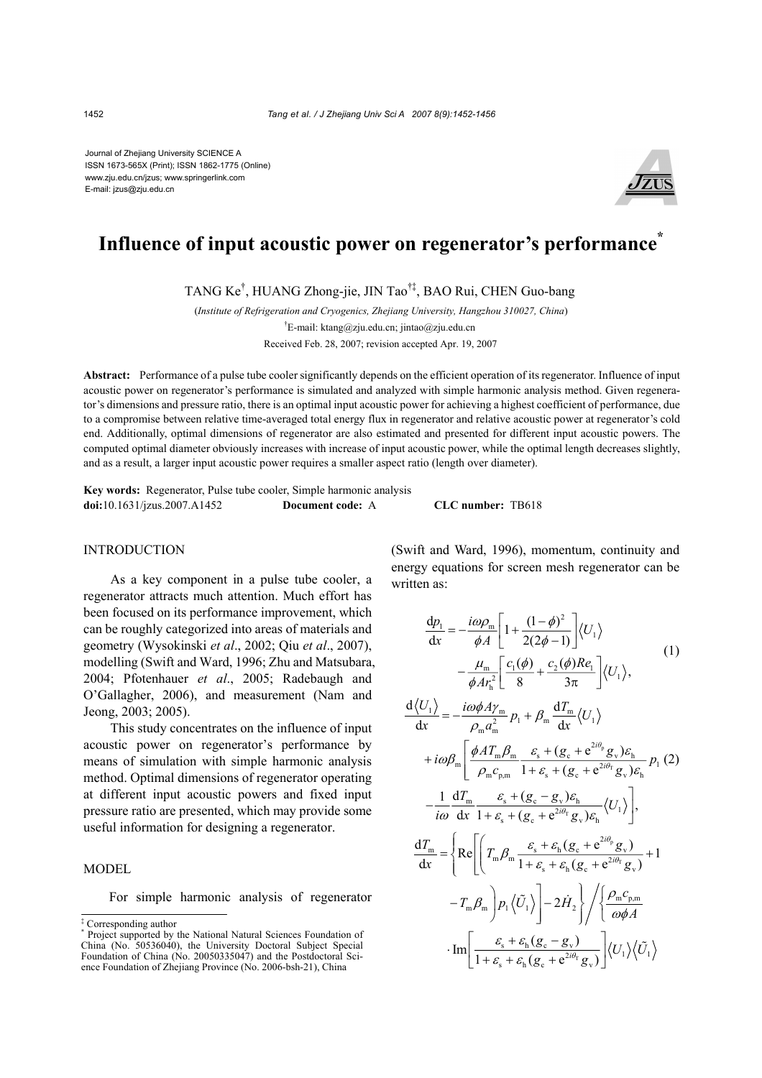Journal of Zhejiang University SCIENCE A ISSN 1673-565X (Print); ISSN 1862-1775 (Online) www.zju.edu.cn/jzus; www.springerlink.com E-mail: jzus@zju.edu.cn



# **Influence of input acoustic power on regenerator's performance\***

TANG Ke† , HUANG Zhong-jie, JIN Tao†‡, BAO Rui, CHEN Guo-bang

(*Institute of Refrigeration and Cryogenics, Zhejiang University, Hangzhou 310027, China*)

† E-mail: ktang@zju.edu.cn; jintao@zju.edu.cn Received Feb. 28, 2007; revision accepted Apr. 19, 2007

**Abstract:** Performance of a pulse tube cooler significantly depends on the efficient operation of its regenerator. Influence of input acoustic power on regenerator's performance is simulated and analyzed with simple harmonic analysis method. Given regenerator's dimensions and pressure ratio, there is an optimal input acoustic power for achieving a highest coefficient of performance, due to a compromise between relative time-averaged total energy flux in regenerator and relative acoustic power at regenerator's cold end. Additionally, optimal dimensions of regenerator are also estimated and presented for different input acoustic powers. The computed optimal diameter obviously increases with increase of input acoustic power, while the optimal length decreases slightly, and as a result, a larger input acoustic power requires a smaller aspect ratio (length over diameter).

**Key words:** Regenerator, Pulse tube cooler, Simple harmonic analysis **doi:**10.1631/jzus.2007.A1452 **Document code:** A **CLC number:** TB618

## INTRODUCTION

As a key component in a pulse tube cooler, a regenerator attracts much attention. Much effort has been focused on its performance improvement, which can be roughly categorized into areas of materials and geometry (Wysokinski *et al*., 2002; Qiu *et al*., 2007), modelling (Swift and Ward, 1996; Zhu and Matsubara, 2004; Pfotenhauer *et al*., 2005; Radebaugh and O'Gallagher, 2006), and measurement (Nam and Jeong, 2003; 2005).

This study concentrates on the influence of input acoustic power on regenerator's performance by means of simulation with simple harmonic analysis method. Optimal dimensions of regenerator operating at different input acoustic powers and fixed input pressure ratio are presented, which may provide some useful information for designing a regenerator.

#### MODEL

For simple harmonic analysis of regenerator

(Swift and Ward, 1996), momentum, continuity and energy equations for screen mesh regenerator can be written as:

$$
\frac{dp_1}{dx} = -\frac{i\omega\rho_m}{\phi A} \left[ 1 + \frac{(1-\phi)^2}{2(2\phi - 1)} \right] \langle U_1 \rangle \n- \frac{\mu_m}{\phi A r_h^2} \left[ \frac{c_1(\phi)}{8} + \frac{c_2(\phi)Re_1}{3\pi} \right] \langle U_1 \rangle,
$$
\n(1)

$$
\frac{d\langle U_{1}\rangle}{dx} = -\frac{i\omega\phi A\gamma_{m}}{\rho_{m} a_{m}^{2}} p_{1} + \beta_{m} \frac{dT_{m}}{dx} \langle U_{1}\rangle
$$
  
+  $i\omega\beta_{m} \left[ \frac{\phi A T_{m} \beta_{m}}{\rho_{m} c_{p,m}} \frac{\varepsilon_{s} + (g_{c} + e^{2i\theta_{p}} g_{v}) \varepsilon_{h}}{1 + \varepsilon_{s} + (g_{c} + e^{2i\theta_{r}} g_{v}) \varepsilon_{h}} p_{1} (2) \right]$   
-  $\frac{1}{i\omega} \frac{dT_{m}}{dx} \frac{\varepsilon_{s} + (g_{c} - g_{v}) \varepsilon_{h}}{1 + \varepsilon_{s} + (g_{c} + e^{2i\theta_{r}} g_{v}) \varepsilon_{h}} \langle U_{1}\rangle \right],$   

$$
\frac{dT_{m}}{dx} = \left\{ Re \left[ \left( T_{m} \beta_{m} \frac{\varepsilon_{s} + \varepsilon_{h} (g_{c} + e^{2i\theta_{r}} g_{v})}{1 + \varepsilon_{s} + \varepsilon_{h} (g_{c} + e^{2i\theta_{r}} g_{v})} + 1 \right. \right. \right.
$$

$$
- T_{m} \beta_{m} \right] p_{1} \langle \tilde{U}_{1}\rangle \right] - 2 \dot{H}_{2} \left\{ \int \left( \frac{\rho_{m} c_{p,m}}{\omega \phi A} \right.
$$

$$
\cdot Im \left[ \frac{\varepsilon_{s} + \varepsilon_{h} (g_{c} - g_{v})}{1 + \varepsilon_{s} + \varepsilon_{h} (g_{c} + e^{2i\theta_{r}} g_{v})} \right] \langle U_{1}\rangle \langle \tilde{U}_{1}\rangle
$$

<sup>‡</sup> Corresponding author

<sup>\*</sup> Project supported by the National Natural Sciences Foundation of China (No. 50536040), the University Doctoral Subject Special Foundation of China (No. 20050335047) and the Postdoctoral Science Foundation of Zhejiang Province (No. 2006-bsh-21), China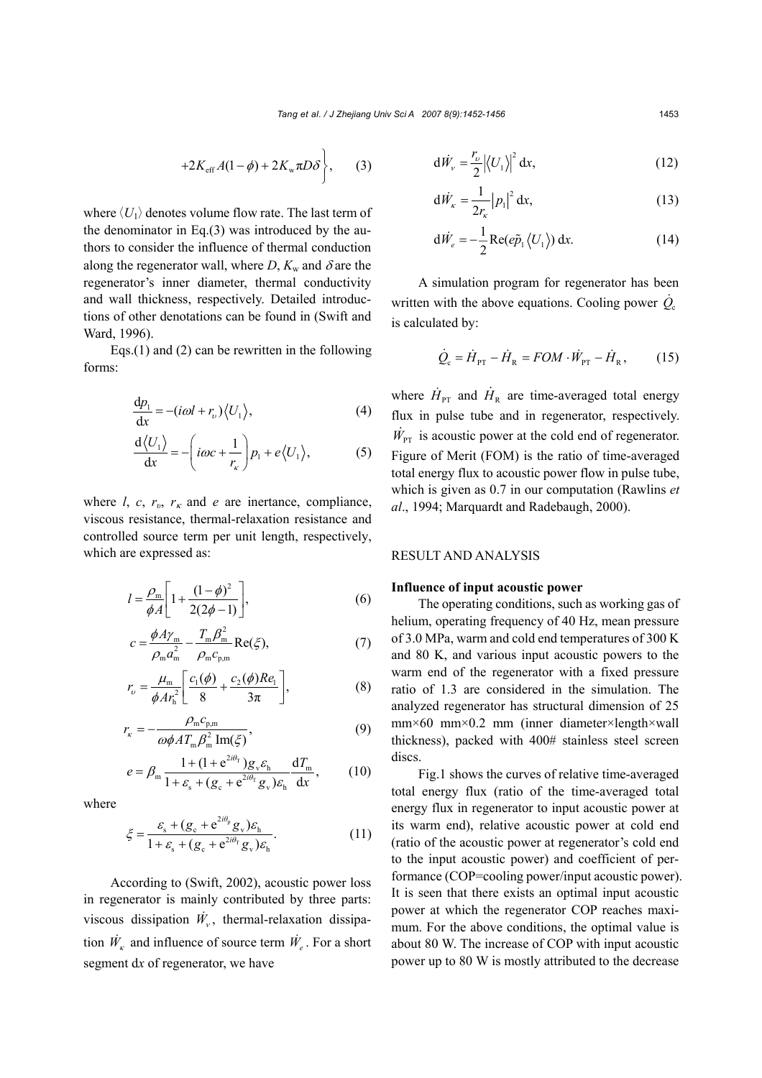$$
+2K_{\rm eff}A(1-\phi)+2K_{\rm w}\pi D\delta\bigg\},\qquad(3)
$$

where  $\langle U_1 \rangle$  denotes volume flow rate. The last term of the denominator in Eq.(3) was introduced by the authors to consider the influence of thermal conduction along the regenerator wall, where *D*,  $K_w$  and  $\delta$  are the regenerator's inner diameter, thermal conductivity and wall thickness, respectively. Detailed introductions of other denotations can be found in (Swift and Ward, 1996).

Eqs.(1) and (2) can be rewritten in the following forms:

$$
\frac{\mathrm{d}p_1}{\mathrm{d}x} = -(i\omega l + r_v)\langle U_1 \rangle,\tag{4}
$$

$$
\frac{d\langle U_1\rangle}{dx} = -\left(i\omega c + \frac{1}{r_{\kappa}}\right)p_1 + e\langle U_1\rangle,
$$
 (5)

where *l*, *c*,  $r_v$ ,  $r_k$  and *e* are inertance, compliance, viscous resistance, thermal-relaxation resistance and controlled source term per unit length, respectively, which are expressed as:

$$
l = \frac{\rho_{\rm m}}{\phi A} \left[ 1 + \frac{(1 - \phi)^2}{2(2\phi - 1)} \right],
$$
 (6)

$$
c = \frac{\phi A \gamma_{\rm m}}{\rho_{\rm m} a_{\rm m}^2} - \frac{T_{\rm m} \beta_{\rm m}^2}{\rho_{\rm m} c_{\rm p,m}} \text{Re}(\xi),\tag{7}
$$

$$
r_{\nu} = \frac{\mu_{\rm m}}{\phi A r_{\rm h}^2} \left[ \frac{c_1(\phi)}{8} + \frac{c_2(\phi) Re_1}{3\pi} \right],
$$
 (8)

$$
r_{\kappa} = -\frac{\rho_{\rm m} c_{\rm p,m}}{\omega \phi A T_{\rm m} \beta_{\rm m}^2 \operatorname{Im}(\xi)},\tag{9}
$$

$$
e = \beta_{\rm m} \frac{1 + (1 + e^{2i\theta_{\rm T}}) g_{\rm v} \varepsilon_{\rm h}}{1 + \varepsilon_{\rm s} + (g_{\rm c} + e^{2i\theta_{\rm T}} g_{\rm v}) \varepsilon_{\rm h}} \frac{dT_{\rm m}}{dx},\qquad(10)
$$

where

$$
\xi = \frac{\varepsilon_{\rm s} + (g_{\rm c} + e^{2i\theta_{\rm p}} g_{\rm v})\varepsilon_{\rm h}}{1 + \varepsilon_{\rm s} + (g_{\rm c} + e^{2i\theta_{\rm r}} g_{\rm v})\varepsilon_{\rm h}}.\tag{11}
$$

According to (Swift, 2002), acoustic power loss in regenerator is mainly contributed by three parts: viscous dissipation  $\dot{W}_y$ , thermal-relaxation dissipation  $\dot{W}_k$  and influence of source term  $\dot{W}_e$ . For a short segment d*x* of regenerator, we have

$$
d\dot{W}_{\nu} = \frac{r_{\nu}}{2} \left| \left\langle U_{1} \right\rangle \right|^{2} dx, \tag{12}
$$

$$
d\dot{W}_x = \frac{1}{2r_x} |p_1|^2 dx,
$$
 (13)

$$
d\dot{W}_e = -\frac{1}{2} \text{Re}(e\tilde{p}_1 \langle U_1 \rangle) dx.
$$
 (14)

A simulation program for regenerator has been written with the above equations. Cooling power  $\dot{Q}_c$ is calculated by:

$$
\dot{Q}_{\rm c} = \dot{H}_{\rm PT} - \dot{H}_{\rm R} = FOM \cdot \dot{W}_{\rm PT} - \dot{H}_{\rm R},\qquad(15)
$$

where  $\dot{H}_{\text{PT}}$  and  $\dot{H}_{\text{R}}$  are time-averaged total energy flux in pulse tube and in regenerator, respectively.  $\dot{W}_{\text{PT}}$  is acoustic power at the cold end of regenerator. Figure of Merit (FOM) is the ratio of time-averaged total energy flux to acoustic power flow in pulse tube, which is given as 0.7 in our computation (Rawlins *et al*., 1994; Marquardt and Radebaugh, 2000).

## RESULT AND ANALYSIS

## **Influence of input acoustic power**

The operating conditions, such as working gas of helium, operating frequency of 40 Hz, mean pressure of 3.0 MPa, warm and cold end temperatures of 300 K and 80 K, and various input acoustic powers to the warm end of the regenerator with a fixed pressure ratio of 1.3 are considered in the simulation. The analyzed regenerator has structural dimension of 25 mm×60 mm×0.2 mm (inner diameter×length×wall thickness), packed with 400# stainless steel screen discs.

Fig.1 shows the curves of relative time-averaged total energy flux (ratio of the time-averaged total energy flux in regenerator to input acoustic power at its warm end), relative acoustic power at cold end (ratio of the acoustic power at regenerator's cold end to the input acoustic power) and coefficient of performance (COP=cooling power/input acoustic power). It is seen that there exists an optimal input acoustic power at which the regenerator COP reaches maximum. For the above conditions, the optimal value is about 80 W. The increase of COP with input acoustic power up to 80 W is mostly attributed to the decrease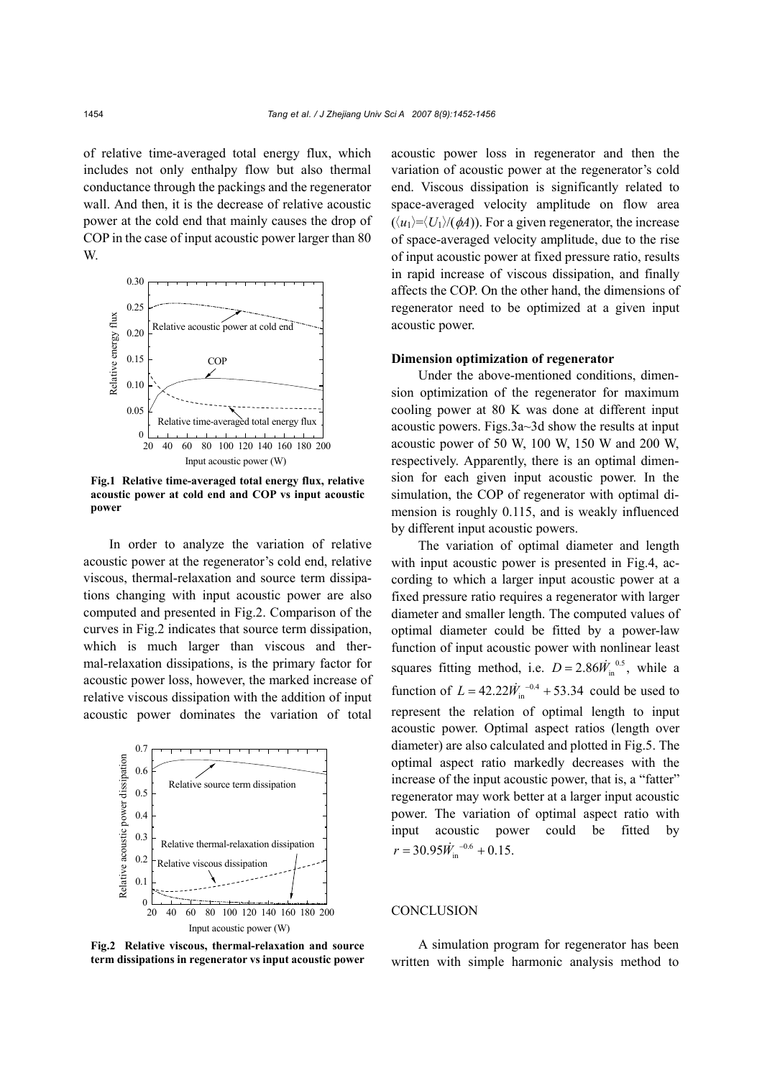of relative time-averaged total energy flux, which includes not only enthalpy flow but also thermal conductance through the packings and the regenerator wall. And then, it is the decrease of relative acoustic power at the cold end that mainly causes the drop of COP in the case of input acoustic power larger than 80 W.



**Fig.1 Relative time-averaged total energy flux, relative acoustic power at cold end and COP vs input acoustic power**

In order to analyze the variation of relative acoustic power at the regenerator's cold end, relative viscous, thermal-relaxation and source term dissipations changing with input acoustic power are also computed and presented in Fig.2. Comparison of the curves in Fig.2 indicates that source term dissipation, which is much larger than viscous and thermal-relaxation dissipations, is the primary factor for acoustic power loss, however, the marked increase of relative viscous dissipation with the addition of input acoustic power dominates the variation of total



**Fig.2 Relative viscous, thermal-relaxation and source term dissipations in regenerator vs input acoustic power**

acoustic power loss in regenerator and then the variation of acoustic power at the regenerator's cold end. Viscous dissipation is significantly related to space-averaged velocity amplitude on flow area  $(\langle u_1 \rangle = \langle U_1 \rangle / (\phi A))$ . For a given regenerator, the increase of space-averaged velocity amplitude, due to the rise of input acoustic power at fixed pressure ratio, results in rapid increase of viscous dissipation, and finally affects the COP. On the other hand, the dimensions of regenerator need to be optimized at a given input acoustic power.

## **Dimension optimization of regenerator**

Under the above-mentioned conditions, dimension optimization of the regenerator for maximum cooling power at 80 K was done at different input acoustic powers. Figs.3a~3d show the results at input acoustic power of 50 W, 100 W, 150 W and 200 W, respectively. Apparently, there is an optimal dimension for each given input acoustic power. In the simulation, the COP of regenerator with optimal dimension is roughly 0.115, and is weakly influenced by different input acoustic powers.

The variation of optimal diameter and length with input acoustic power is presented in Fig.4, according to which a larger input acoustic power at a fixed pressure ratio requires a regenerator with larger diameter and smaller length. The computed values of optimal diameter could be fitted by a power-law function of input acoustic power with nonlinear least squares fitting method, i.e.  $D = 2.86 \dot{W}_{in}^{0.5}$ , while a function of  $L = 42.22 \dot{W}_{in}^{-0.4} + 53.34$  could be used to represent the relation of optimal length to input acoustic power. Optimal aspect ratios (length over diameter) are also calculated and plotted in Fig.5. The optimal aspect ratio markedly decreases with the increase of the input acoustic power, that is, a "fatter" regenerator may work better at a larger input acoustic power. The variation of optimal aspect ratio with input acoustic power could be fitted by  $r = 30.95 \dot{W}_{\rm in}^{-0.6} + 0.15.$ 

## **CONCLUSION**

A simulation program for regenerator has been written with simple harmonic analysis method to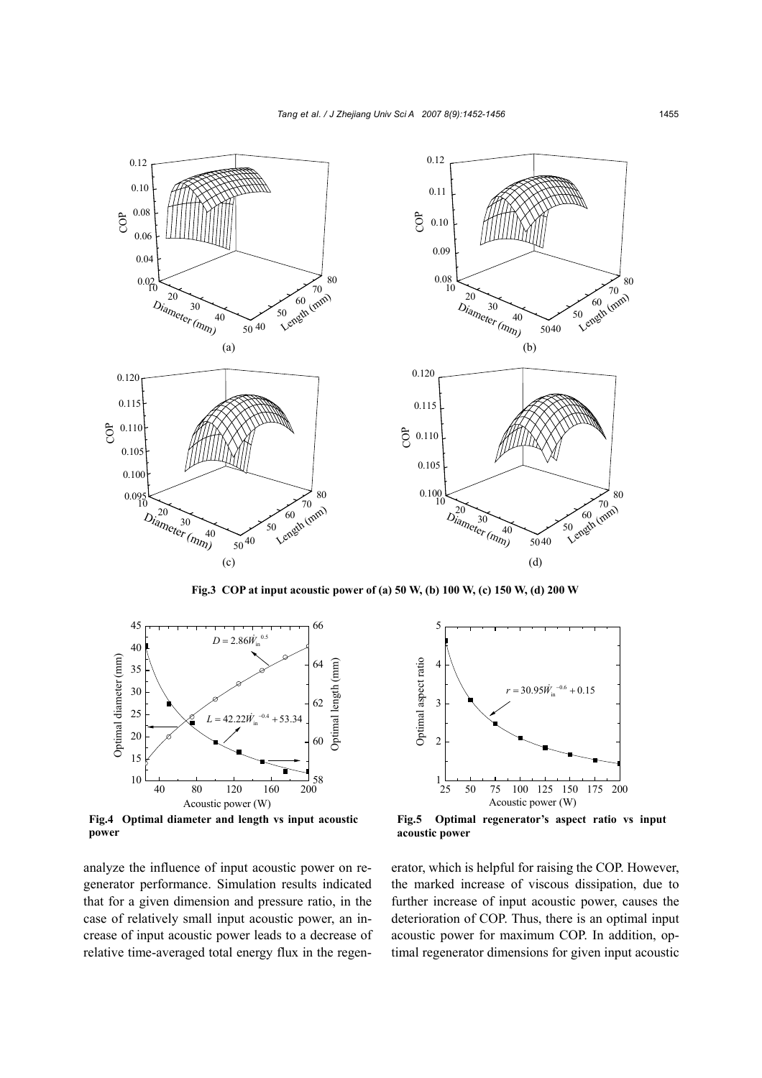

**Fig.3 COP at input acoustic power of (a) 50 W, (b) 100 W, (c) 150 W, (d) 200 W** 



**Fig.4 Optimal diameter and length vs input acoustic power** 

analyze the influence of input acoustic power on regenerator performance. Simulation results indicated that for a given dimension and pressure ratio, in the case of relatively small input acoustic power, an increase of input acoustic power leads to a decrease of relative time-averaged total energy flux in the regen-



**Fig.5 Optimal regenerator's aspect ratio vs input acoustic power** 

erator, which is helpful for raising the COP. However, the marked increase of viscous dissipation, due to further increase of input acoustic power, causes the deterioration of COP. Thus, there is an optimal input acoustic power for maximum COP. In addition, optimal regenerator dimensions for given input acoustic